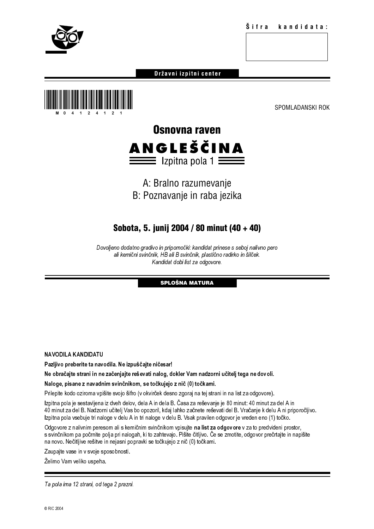

### Državni izpitni center





A: Bralno razumevanje B: Poznavanje in raba jezika

### Sobota, 5. junij 2004 / 80 minut (40 + 40)

Dovoljeno dodatno gradivo in pripomočki: kandidat prinese s seboj nalivno pero ali kemični svinčnik, HB ali B svinčnik, plastično radirko in šilček. Kandidat dobi list za odgovore.

### SPLOŠNA MATURA

### NAVODILA KANDIDATU

Pazljivo preberite ta navodila. Ne izpuščajte ničesar!

Ne obračajte strani in ne začenjajte reševati nalog, dokler Vam nadzorni učitelj tega ne dovoli.

### Naloge, pisane z navadnim svinčnikom, se točkujejo z nič (0) točkami.

Prilepite kodo oziroma vpišite svojo šifro (v okvirček desno zgoraj na tej strani in na list za odgovore).

ali kemični svinčnik, HB ali B svinčnik, plastično radirko in šliček.<br>
Kandidat dobi list za odgovore.<br> **SEPOSIVA MATUEA**<br>
SEPOSIVA MATUEA<br>
In the začenjajte reševati nalog, dokler Vam nadzorni učitelj tega ne dovoli,<br>
upi Kandidat dobi list za odgovore.<br> **SPLOŠNA MATURA**<br> **SPLOŠNA MATURA**<br> **ali B svinčnikom, se točkujejo z nič (0) točkami.**<br>
avojo šifro (v okvirček desno zgoraj na tej strani in na list za odgoveh delov, dela A in dela B. Ča **SPLOŠNA MATURA**<br> **SPLOŠNA MATURA**<br>
nalog, dokler Vam nadzorni<br>
očkujejo z nič (0) točkami.<br>
irček desno zgoraj na tej strani<br>
in dela B. Časa za reševanje j<br>
oge v delu B. Vsak pravilen od<br>
vinčnikom vpisujte na list za o Izpitna pola je sestavljena iz dveh delov, dela A in dela B. Časa za reševanje je 80 minut: 40 minut za del A in 40 minut za del B. Nadzorni učitelj Vas bo opozoril, kdaj lahko začnete reševati del B. Vračanje k delu A ni priporočljivo. Izpitna pola vsebuje tri naloge v delu A in tri naloge v delu B. Vsak pravilen odgovor je vreden eno (1) točko.

Odgovore z nalivnim peresom ali s kemičnim svinčnikom vpisujte na list za odgovore v za to predvideni prostor, s svinčnikom pa počrnite polja pri nalogah, ki to zahtevajo. Pišite čitljivo. Če se zmotite, odgovor prečrtajte in napišite na novo. Nečitljive rešitve in nejasni popravki se točkujejo z nič (0) točkami.

Zaupajte vase in v svoje sposobnosti.

Želimo Vam veliko uspeha.

Ta pola ima 12 strani, od tega 2 prazni.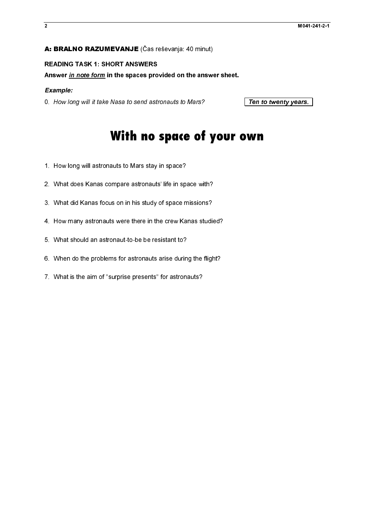### A: BRALNO RAZUMEVANJE (Čas reševanja: 40 minut)

Answer *in note form* in the spaces pro<br>Example:<br>0. How long will it take Nasa to send astronauts<br>1. How long will astronauts to Mars stay<br>2. What does Kanas compare astronauts<br>3. What did Kanas focus on in his study<br>4. Ho

### *Example:*

Ten to twenty years.

# **A: BRALNO RAZUMEVANJE** (Čas reševanja: 40 minut)<br>READING TASK 1: SHORT ANSWERS<br>Answer *in note form* in the spaces provided on the answer<br>Example:<br>O. How long will it take Nasa to send astronauts to Mars?<br>O. How long will Answer <u>in note form</u> in the spaces provided on the answer sheet.<br>Example:<br>
O. How long will it take Nasa to send astronauts to Mars?<br> **With no space of your**<br>
1. How long will astronauts to Mars stay in space?<br>
2. What di **With no space of your own**<br>1. How long will satronauts to Mars stay in space?<br>2. What cises Kansa compare astronauts' life in space?<br>3. What sites focus on it his study of space missions?<br>4. How many astronauts were there **With no space of your own**

- 
- $\frac{1}{2}$  and  $\frac{1}{2}$  and  $\frac{1}{2}$  and  $\frac{1}{2}$  and  $\frac{1}{2}$  and  $\frac{1}{2}$  and  $\frac{1}{2}$  and  $\frac{1}{2}$  and  $\frac{1}{2}$  and  $\frac{1}{2}$  and  $\frac{1}{2}$  and  $\frac{1}{2}$  and  $\frac{1}{2}$  and  $\frac{1}{2}$  and  $\frac{1}{2}$  and  $\frac{1}{2}$  a  $\frac{1}{2}$  and  $\frac{1}{2}$  and  $\frac{1}{2}$  and  $\frac{1}{2}$  and  $\frac{1}{2}$  and  $\frac{1}{2}$  and  $\frac{1}{2}$  and  $\frac{1}{2}$  and  $\frac{1}{2}$  and  $\frac{1}{2}$  and  $\frac{1}{2}$  and  $\frac{1}{2}$  and  $\frac{1}{2}$  and  $\frac{1}{2}$  and  $\frac{1}{2}$  and  $\frac{1}{2}$  a 2. What does Kanas compare astronauts' life in space R<br>1. How many astronauts were there in the crew Ka<br>4. How many astronauts were there in the crew Ka<br>5. What should an astronaut-to-be be resistant to?<br>6. When do the pro
- 
- 2. What does Kanas compare astronauts' life in space with?<br>3. What did Kanas focus on in his study of space missions?<br>4. How many astronauts were there in the crew Kanas studie<br>5. What should an astronaut-to-be be resistan 3. How many astronauts were there in the crew Kanas studies.<br>4. How many astronauts were there in the crew Kanas studies.<br>6. What should an astronaut-to-be be resistant to?<br>6. When do the problems for astronauts arise duri
- 
- 5. What should an astronaut-to-be be resistant to?<br>6. When do the problems for astronauts arise during the flight?<br>7. What is the aim of "surprise presents" for astronauts? 5. When do the problems for astronauts arise during<br>7. What is the aim of "surprise presents" for astronauts<br>7.
- For the problems for astronauts for astronauts are during the flight of the flight of "surprise presents" for astronauts? 7. What is the aim of ''surprise presents'' for astronauts?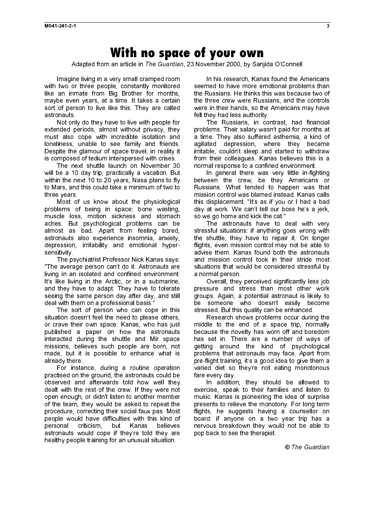### **With no space of your own**

Adapted from an article in The Guardian, 23 November 2000, by Sanjida O'Connell

Imagine living in a very small cramped room with two or three people, constantly monitored like an inmate from Big Brother for months, maybe even years, at a time. It takes a certain sort of person to live like this. They are called astronauts.

Not only do they have to live with people for extended periods, almost without privacy, they must also cope with incredible isolation and loneliness, unable to see family and friends. Despite the glamour of space travel, in reality it is composed of tedium interspersed with crises.

The next shuttle launch on November 30 will be a 10 day trip, practically a vacation. But within the next 10 to 20 years, Nasa plans to fly to Mars, and this could take a minimum of two to three years.

Most of us know about the physiological problems of being in space: bone wasting, muscle loss, motion sickness and stomach aches. But psychological problems can be almost as bad. Apart from feeling bored, astronauts also experience insomnia, anxiety, depression, irritability and emotional hypersensitivity.

The psychiatrist Professor Nick Kanas says: "The average person can't do it. Astronauts are living in an isolated and confined environment. It's like living in the Arctic, or in a submarine, and they have to adapt. They have to tolerate seeing the same person day after day, and still deal with them on a professional basis."

The sort of person who can cope in this situation doesn't feel the need to please others, or crave their own space. Kanas, who has just published a paper on how the astronauts interacted during the shuttle and Mir space missions, believes such people are born, not made, but it is possible to enhance what is already there.

For instance, during a routine operation practised on the ground, the astronauts could be observed and afterwards told how well they dealt with the rest of the crew. If they were not open enough, or didn't listen to another member of the team, they would be asked to repeat the procedure, correcting their social faux pas. Most people would have difficulties with this kind of personal criticism, but Kanas believes astronauts would cope if they're told they are healthy people training for an unusual situation.

In his research, Kanas found the Americans seemed to have more emotional problems than the Russians. He thinks this was because two of the three crew were Russians, and the controls were in their hands, so the Americans may have felt they had less authority.

The Russians, in contrast, had financial problems. Their salary wasn't paid for months at a time. They also suffered asthemia, a kind of agitated depression, where they became irritable, couldn't sleep and started to withdraw from their colleagues. Kanas believes this is a normal response to a confined environment.

In general there was very little in-fighting between the crew, be they Americans or Russians. What tended to happen was that mission control was blamed instead. Kanas calls this displacement. "It's as if you or I had a bad day at work. We can't tell our boss he's a jerk, so we go home and kick the cat."

The astronauts have to deal with very stressful situations: if anything goes wrong with the shuttle, they have to repair it. On longer flights, even mission control may not be able to advise them. Kanas found both the astronauts and mission control took in their stride most situations that would be considered stressful by a normal person.

Overall, they perceived significantly less job pressure and stress than most other work groups. Again, a potential astronaut is likely to be someone who doesn't easily become stressed. But this quality can be enhanced.

Research shows problems occur during the middle to the end of a space trip, normally because the novelty has worn off and boredom has set in. There are a number of ways of getting around the kind of psychological problems that astronauts may face. Apart from pre-flight training, it's a good idea to give them a varied diet so they're not eating monotonous fare every day.

In addition, they should be allowed to exercise, speak to their families and listen to music. Kanas is pioneering the idea of surprise presents to relieve the monotony. For long term flights, he suggests having a counsellor on board: if anyone on a two year trip has a nervous breakdown they would not be able to pop back to see the therapist.

© The Guardian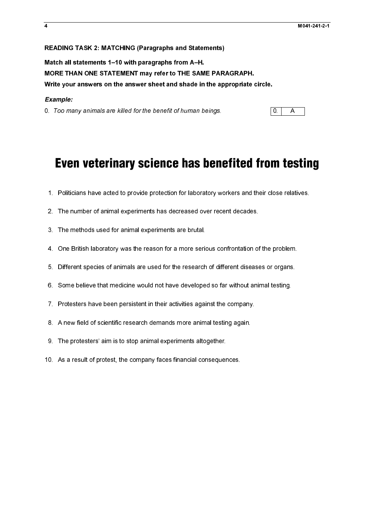### READING TASK 2: MATCHING (Paragraphs and Statements)

Match all statements 1–10 with paragraphs from A–H. MORE THAN ONE STATEMENT may refer to THE SAME PARAGRAPH. Write your answers on the answer sheet and shade in the appropriate circle.

### *Example:*

# 0. Too many animals are killed for the benefit of human beings.<br> **EVEN VETETIRATY SCIENCE TASS DENETITEE TROM TESTI**<br>
1. Politicians have acted to provide protection for laboratory workers and their close relative<br>
2. The Even veterinary science has benefited from testing

- 1. Politicians have acted to provide protection for laboratory workers and their close relatives.
- 2. The number of animal experiments has decreased over recent decades.
- 3. The methods used for animal experiments are brutal.
- 4. One British laboratory was the reason for a more serious confrontation of the problem.
- 5. Different species of animals are used for the research of different diseases or organs.
- 6. Some believe that medicine would not have developed so far without animal testing.
- 7. Protesters have been persistent in their activities against the company.
- 8. A new field of scientific research demands more animal testing again.
- 9. The protesters' aim is to stop animal experiments altogether.
- 10. As a result of protest, the company faces financial consequences.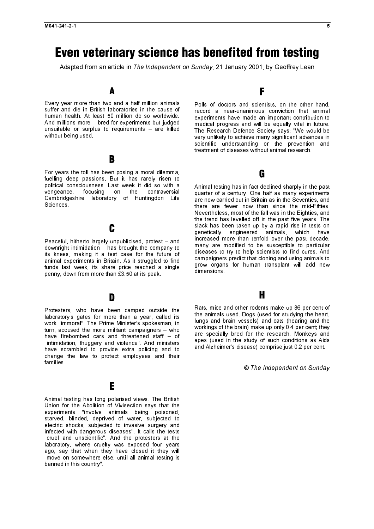## Even veterinary science has benefited from testing

Every year more than two and a half million animals suffer and die in British laboratories in the cause of human health. At least 50 million do so worldwide. And millions more – bred for experiments but judged unsuitable or surplus to requirements – are killed without being used.

A

### B

For years the toll has been posing a moral dilemma, fuelling deep passions. But it has rarely risen to political consciousness. Last week it did so with a vengeance, focusing on the contraversial Cambridgeshire laboratory of Huntingdon Life Sciences.

### C

Peaceful, hitherto largely unpublicised, protest – and downright intimidation – has brought the company to its knees, making it a test case for the future of animal experiments in Britain. As it struggled to find funds last week, its share price reached a single penny, down from more than £3.50 at its peak.

### D

Protesters, who have been camped outside the laboratory's gates for more than a year, called its work ''immoral''. The Prime Minister's spokesman, in turn, accused the more militant campaigners – who have firebombed cars and threatened staff – of ''intimidation, thuggery and violence''. And ministers have scrambled to provide extra policing and to change the law to protect employees and their families.

### E

Animal testing has long polarised views. The British Union for the Abolition of Vivisection says that the experiments ''involve animals being poisoned, starved, blinded, deprived of water, subjected to electric shocks, subjected to invasive surgery and infected with dangerous diseases''. It calls the tests ''cruel and unscientific''. And the protesters at the laboratory, where cruelty was exposed four years ago, say that when they have closed it they will ''move on somewhere else, until all animal testing is banned in this country''.

### F

Polls of doctors and scientists, on the other hand, record a near-unanimous conviction that animal experiments have made an important contribution to medical progress and will be equally vital in future. The Research Defence Society says: ''We would be very unlikely to achieve many significant advances in scientific understanding or the prevention and treatment of diseases without animal research.''

### G

Neuron the matrix is much an article in the matrix is more than the three states and the states of the state in the interest of the state in the interest of the state in the interest of the interest of the interest of the Animal testing has in fact declined sharply in the past quarter of a century. One half as many experiments are now carried out in Britain as in the Seventies, and there are fewer now than since the mid-Fifties. Nevertheless, most of the fall was in the Eighties, and the trend has levelled off in the past five years. The slack has been taken up by a rapid rise in tests on genetically engineered animals, which have increased more than tenfold over the past decade; many are modified to be susceptible to particular diseases to try to help scientists to find cures. And campaigners predict that cloning and using animals to grow organs for human transplant will add new dimensions.

### H

Rats, mice and other rodents make up 86 per cent of the animals used. Dogs (used for studying the heart, lungs and brain vessels) and cats (hearing and the workings of the brain) make up only 0.4 per cent; they are specially bred for the research. Monkeys and apes (used in the study of such conditions as Aids and Alzheimer's disease) comprise just 0.2 per cent.

© The Independent on Sunday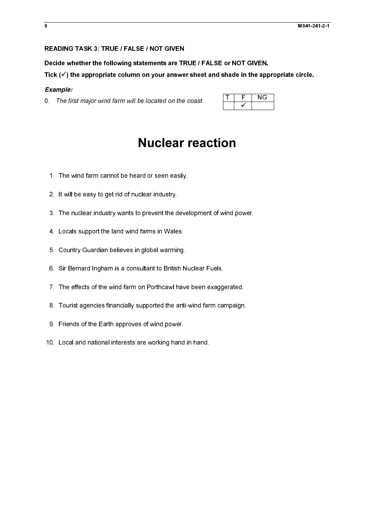### READING TASK 3: TRUE / FALSE / NOT GIVEN

Decide whether the following statements are TRUE / FALSE or NOT GIVEN.

Tick  $(\checkmark)$  the appropriate column on your answer sheet and shade in the appropriate circle.

### *Example:*

0. The first major wind farm will be located on the coast.

# Nuclear reaction

- 1. The wind farm cannot be heard or seen easily.
- 2. It will be easy to get rid of nuclear industry.
- 0. The first major word farm will be socated on the coast.<br>
1. The wind farm cannot be heard or sean easily.<br>
2. It will be easy to get nd of nuclear industry<br>
3. The nuclear industry wants to prevent the development of wi 1. It will be easy to get rid of nuclear industry.<br>
1. The nuclear industry wants to prevent the deve<br>
1. Locals support the land wind farms in Wales.<br>
5. Country Guardian believes in global warming.<br>
1. Sir Bernard Ingham 3. The nuclear industry wants to prevent the development of wind power.
- 4. Locals support the land wind farms in Wales.
- 5. Country Guardian believes in global warming.
- 6. Sir Bernard Ingham is a consultant to British Nuclear Fuels.
- 7. The effects of the wind farm on Porthcawl have been exaggerated.
- 3. Locals support the land wind farms in Wales.<br>3. Country Guardian believes in global warming.<br>6. Sir Bernard Ingham is a consultant to British Nuclear Fuels.<br>7. The effects of the wind farm on Porthcawl have been exagger 7. The effects of the wind farm on Porthcawl have been exagge<br>8. Tourist agencies financially supported the anti-wind farm car<br>9. Friends of the Earth approves of wind power.<br>10. Local and national interests are working ha 7. The effects of the materially supported the anti-wind farm campaign.<br>The effects of the Earth approves of wind power.<br>The Local and national interests are working hand in hand. 8. Tourist agencies financially supported the anti-wind farm campaign.
- 2. It will be easy to get riduct a matter wilder that a local support the land wind farms in Wale<br>4. Locals support the land wind farms in Wale<br>5. Country Guardian believes in global warming.<br>6. Sir Bernard Ingham is a con 4. Locals supported the lieves in global warming.<br>4. Sir Bernard Ingham is a consultant to British M<br>7. The effects of the wind farm on Porthcawl have<br>8. Tourist agencies financially supported the ant<br>9. Friends of the Ear 5. Sir Bernard Ingham is a consultant to British N<br>5. Sir Bernard Ingham is a consultant to British N<br>7. The effects of the wind farm on Porthcawl have<br>8. Tourist agencies financially supported the anti-<br>9. Friends of the 9. Friends of the Earth approves of wind power.
- 9. Friends of the Earth approves of wind power.<br>10. Local and national interests are working hand in hand. 9. Friends of the Earth approves of wind power.<br>10. Local and national interests are working hand 10. Local and national interests are working hand in hand.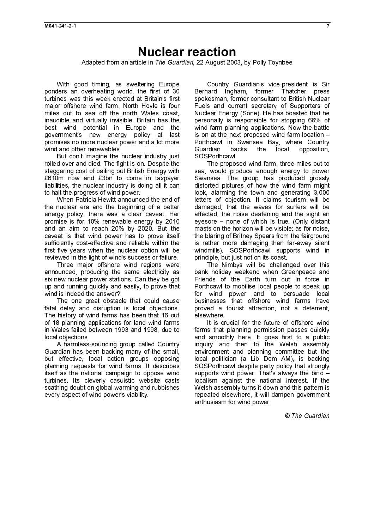### Nuclear reaction

Adapted from an article in The Guardian, 22 August 2003, by Polly Toynbee

With good timing, as sweltering Europe ponders an overheating world, the first of 30 turbines was this week erected at Britain's first major offshore wind farm. North Hoyle is four miles out to sea off the north Wales coast, inaudible and virtually invisible. Britain has the best wind potential in Europe and the government's new energy policy at last promises no more nuclear power and a lot more wind and other renewables.

But don't imagine the nuclear industry just rolled over and died. The fight is on. Despite the staggering cost of bailing out British Energy with £610m now and £3bn to come in taxpayer liabilities, the nuclear industry is doing all it can to halt the progress of wind power.

When Patricia Hewitt announced the end of the nuclear era and the beginning of a better energy policy, there was a clear caveat. Her promise is for 10% renewable energy by 2010 and an aim to reach 20% by 2020. But the caveat is that wind power has to prove itself sufficiently cost-effective and reliable within the first five years when the nuclear option will be reviewed in the light of wind's success or failure.

Three major offshore wind regions were announced, producing the same electricity as six new nuclear power stations. Can they be got up and running quickly and easily, to prove that wind is indeed the answer?

The one great obstacle that could cause fatal delay and disruption is local objections. The history of wind farms has been that 16 out of 18 planning applications for land wind farms in Wales failed between 1993 and 1998, due to local objections.

A harmless-sounding group called Country Guardian has been backing many of the small, but effective, local action groups opposing planning requests for wind farms. It describes itself as the national campaign to oppose wind turbines. Its cleverly casuistic website casts scathing doubt on global warming and rubbishes every aspect of wind power's viability.

Country Guardian's vice-president is Sir Bernard Ingham, former Thatcher press spokesman, former consultant to British Nuclear Fuels and current secretary of Supporters of Nuclear Energy (Sone). He has boasted that he personally is responsible for stopping 66% of wind farm planning applications. Now the battle is on at the next proposed wind farm location – Porthcawl in Swansea Bay, where Country Guardian backs the local opposition, SOSPorthcawl.

The proposed wind farm, three miles out to sea, would produce enough energy to power Swansea. The group has produced grossly distorted pictures of how the wind farm might look, alarming the town and generating 3,000 letters of objection. It claims tourism will be damaged, that the waves for surfers will be affected, the noise deafening and the sight an eyesore – none of which is true. (Only distant masts on the horizon will be visible: as for noise, the blaring of Britney Spears from the fairground is rather more damaging than far-away silent windmills). SOSPorthcawl supports wind in principle, but just not on its coast.

The Nimbys will be challenged over this bank holiday weekend when Greenpeace and Friends of the Earth turn out in force in Porthcawl to mobilise local people to speak up for wind power and to persuade local businesses that offshore wind farms have proved a tourist attraction, not a deterrent, elsewhere.

It is crucial for the future of offshore wind farms that planning permission passes quickly and smoothly here. It goes first to a public inquiry and then to the Welsh assembly environment and planning committee but the local politician (a Lib Dem AM), is backing SOSPorthcawl despite party policy that strongly supports wind power. That's always the bind – localism against the national interest. If the Welsh assembly turns it down and this pattern is repeated elsewhere, it will dampen government enthusiasm for wind power.

© The Guardian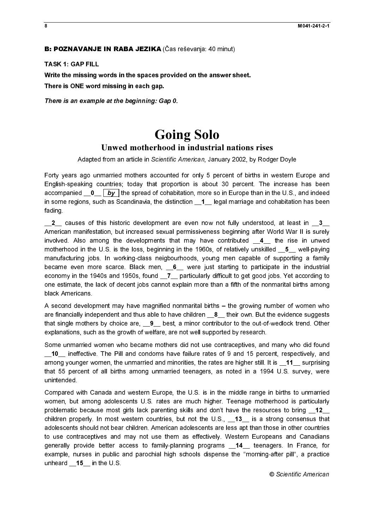TASK 1: GAP FILL Write the missing words in the spaces provided on the answer sheet. There is ONE word missing in each gap.

# Unwed motherhood in industrial nations rises

Forty years ago unmarried mothers accounted for only 5 percent of births in western Europe and English-speaking countries; today that proportion is about 30 percent. The increase has been in some regions, such as Scandinavia, the distinction \_\_1\_\_ legal marriage and cohabitation has been fading.

**B: POZNAVANJE IN RABA JEZIKA** (Čas reševanja: 40 minut)<br>
TASK 1: GAP FILL<br>
TASK 1: GAP FILL<br>
White the missing words in the spaces provided on the answer s<br>
Write the missing words in the spaces provided on the answer s<br>  $\Box$  2 causes of this historic development are even now not fully understood, at least in  $\Box$ 3 American manifestation, but increased sexual permissiveness beginning after World War II is surely involved. Also among the developments that may have contributed \_\_4\_\_ the rise in unwed motherhood in the U.S. is the loss, beginning in the 1960s, of relatively unskilled \_5\_ well-paying manufacturing jobs. In working-class neigbourhoods, young men capable of supporting a family became even more scarce. Black men, 6\_ were just starting to participate in the industrial economy in the 1940s and 1950s, found \_7\_ particularly difficult to get good jobs. Yet according to one estimate, the lack of decent jobs cannot explain more than a fifth of the nonmarital births among black Americans.

A second development may have magnified nonmarital births – the growing number of women who are financially independent and thus able to have children 8 their own. But the evidence suggests that single mothers by choice are, <u>9</u> best, a minor contributor to the out-of-wedlock trend. Other explanations, such as the growth of welfare, are not well supported by research.

Some unmarried women who became mothers did not use contraceptives, and many who did found 10\_ ineffective. The Pill and condoms have failure rates of 9 and 15 percent, respectively, and among younger women, the unmarried and minorities, the rates are higher still. It is **11** surprising that 55 percent of all births among unmarried teenagers, as noted in a 1994 U.S. survey, were unintended.

There is an example at the beginning: Gap 0.<br>
Unwed motherhood in Adapted from an article in Scientific.<br>
Forty years ago unmarried mothers accounted<br>
English-speaking countries; today that propor<br>
accompanied  $\underline{0} = \underline{$ Adapted from an article in Scientific American, January 2002, by Rodger Doyle<br>ago unmarined mothers accounted for con/y 5 percent of bittes in vestering<br>bitted in the scientific accounted for con/y 5 percent of bitted in accompanied \_\_0\_\_ by the spread of cohabitation, more so in Europe than in the U.S., and indeed<br>
accompanied \_\_0\_\_ causes of this habitation, the distriction, more so in Europe than in the U.S. and indeed<br>
factors.<br>
Americ Compared with Canada and western Europe, the U.S. is in the middle range in births to unmarried women, but among adolescents U.S. rates are much higher. Teenage motherhood is particularly problematic because most girls lack parenting skills and don't have the resources to bring 12 children properly. In most western countries, but not the U.S., 13\_ is a strong consensus that adolescents should not bear children. American adolescents are less apt than those in other countries to use contraceptives and may not use them as effectively. Western Europeans and Canadians generally provide better access to family-planning programs **14** teenagers. In France, for example, nurses in public and parochial high schools dispense the ''morning-after pill'', a practice unheard  $15$  in the U.S.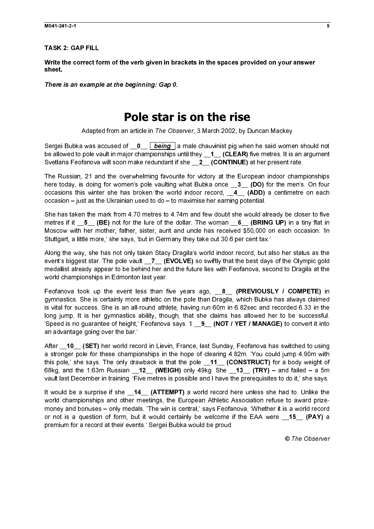TASK 2: GAP FILL

Write the correct form of the verb given in brackets in the spaces provided on your answer sheet.

There is an example at the beginning: Gap 0.

### Pole star is on the rise

Adapted from an article in The Observer, 3 March 2002, by Duncan Mackey

be allowed to pole vault in major championships until they \_\_1\_\_ (CLEAR) five metres. It is an argument Svetlana Feofanova will soon make redundant if she \_\_2\_ (CONTINUE) at her present rate.

The Russian, 21 and the overwhelming favourite for victory at the European indoor championships here today, is doing for women's pole vaulting what Bubka once **3** (DO) for the men's. On four occasions this winter she has broken the world indoor record,  $\_\_4\_\_$  (ADD) a centimetre on each occasion – just as the Ukrainian used to do – to maximise her earning potential.

She has taken the mark from 4.70 metres to 4.74m and few doubt she would already be closer to five metres if it \_5\_ (BE) not for the lure of the dollar. The woman \_6\_ (BRING UP) in a tiny flat in Moscow with her mother, father, sister, aunt and uncle has received \$50,000 on each occasion. 'In Stuttgart, a little more,' she says, 'but in Germany they take out 30.6 per cent tax.'

Along the way, she has not only taken Stacy Dragila's world indoor record, but also her status as the event's biggest star. The pole vault \_\_7\_ (EVOLVE) so swiftly that the best days of the Olympic gold medallist already appear to be behind her and the future lies with Feofanova, second to Dragila at the world championships in Edmonton last year.

There is an example at the beginning: Gap 0.<br> **POIE Star i**<br>
Adapted from an article in The Obs<br>
Bergei Bubka was accused of <u>0</u>. **Deling** levent and the compleme beginned to pole vault in major champlonships is<br>
Svetlana Serge Buska was accused of \_\_<u>Chauvinist pig when the same that when the said women should not be the said words of  $\sim$  Leman and the same should not be the same should not be the same of the same of the same of the same</u> Feofanova took up the event less than five years ago, \_\_8\_\_ (PREVIOUSLY / COMPETE) in gymnastics. She is certainly more athletic on the pole than Dragila, which Bubka has always claimed is vital for success. She is an all-round athlete, having run 60m in 6.82sec and recorded 6.33 in the long jump. It is her gymnastics ability, though, that she claims has allowed her to be successful. 'Speed is no guarantee of height,' Feofanova says. 'I **9** (NOT / YET / MANAGE) to convert it into an advantage going over the bar.'

After **10** (SET) her world record in Lievin, France, last Sunday, Feofanova has switched to using a stronger pole for these championships in the hope of clearing 4.82m. 'You could jump 4.90m with this pole,' she says. The only drawback is that the pole \_\_11\_\_ (CONSTRUCT) for a body weight of 68kg, and the 1.63m Russian  $12$  (WEIGH) only 49kg. She  $13$  (TRY) – and failed – a 5m vault last December in training. 'Five metres is possible and I have the prerequisites to do it,' she says.

It would be a surprise if she \_\_14\_\_ (ATTEMPT) a world record here unless she had to. Unlike the world championships and other meetings, the European Athletic Association refuse to award prizemoney and bonuses – only medals. 'The win is central,' says Feofanova. 'Whether it is a world record or not is a question of form, but it would certainly be welcome if the EAA were 15\_(PAY) a premium for a record at their events.' Sergei Bubka would be proud.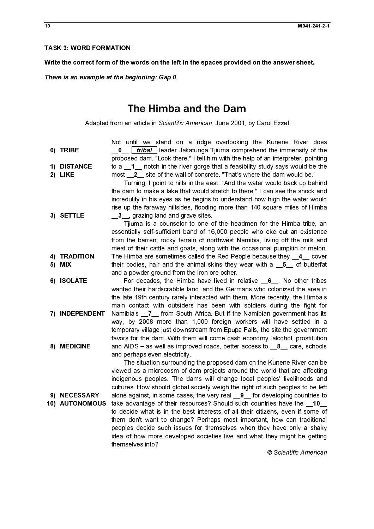### **TASK 3: WORD FORMATION**

### The Himba and the Dam

Not until we stand on a ridge overlooking the Kunene River does proposed dam. "Look there," I tell him with the help of an interpreter, pointing

Turning, I point to hills in the east. "And the water would back up behind the dam to make a lake that would stretch to there." I can see the shock and incredulity in his eyes as he begins to understand how high the water would rise up the faraway hillsides, flooding more than 140 square miles of Himba

Tjiuma is a counselor to one of the headmen for the Himba tribe, an essentially self-sufficient band of 16,000 people who eke out an existence from the barren, rocky terrain of northwest Namibia, living off the milk and meat of their cattle and goats, along with the occasional pumpkin or melon. and a powder ground from the iron ore ocher.

Write the correct form of the v<br>
There is an example at the be<br>
T<br>
T<br>
Adapted from an<br>
O<br>
D<br>
STANCE<br>
T<br>
T<br>
C<br>
C<br>
C<br>
D<br>
DISTANCE<br>
The Higher one<br>
C<br>
The Higher one<br>
S<br>
3) SETTLE<br>
S<br>
Time starting the dan<br>
interated<br>
meat of wanted their hardscrabble land, and the Germans who colonized the area in the late 19th century rarely interacted with them. More recently, the Himba's main contact with outsiders has been with soldiers during the fight for way, by 2008 more than 1,000 foreign workers will have settled in a temporary village just downstream from Epupa Falls, the site the government favors for the dam. With them will come cash economy, alcohol, prostitution and perhaps even electricity.

There is an exampte at the beginning: Gap 0.<br>
The Himba and the Dam<br>
Nonptes from an article in Scientific American, June 2001, by Carol Ezzel<br>
19. Notice that the correct son transfer is allowed to an example the search The Himba Magnetic interest in the same of the transposition of the beginning. The Himba Magneton ( $\frac{0}{2}$  and  $\frac{1}{2}$  model of the most  $\frac{2}{3}$  and  $\frac{1}{2}$  most  $\frac{3}{2}$  and  $\frac{1}{2}$  most  $\frac{3}{2}$  and  $\frac{1}{2}$ Adapted from an article in Scientific American, June 2001, by Carol Ezzel<br>
Not until we stand on a ridge overlooking the Kunene<br>  $\frac{6}{2}$  – Core (Fridan) = leads data, then in the way goed that a feasibility study sepsec 10) AUTONOMOUS **OUR Lindary** leader slakatunga Tjuma comprehend the immensity of the comprehend to itsell to a  $\frac{1}{2}$  moth in the inversion groups that a reastingly study see so would be the  $\frac{1}{2}$  moth in the inversion groups tha to a  $\frac{1}{2}$  moth in the river gorge that a feasibility study says would be the main transfer. The river in the river study step would be the main,  $|$  looning,  $|$  point to hills in the east. "And the welter would be a most  $\frac{2}{3}$  site of the wall of concrete. "That's where the dam would be."<br>Turning I point to hills in the east "And the water would beth the the dam to make a labe that would stecht to there." I can see the shock<br>the  $\frac{3}{2}$ , grazing land and grave sites.<br>
Tijuma is a counselor to one of 16<br>
essentially self-sufficient band of 16<br>
from the barren, rocky terrain of no<br>
from the barren, rocky terrain of no<br>
meat of their cattle and go The Himba are sometimes called the Red People because they  $\frac{4}{-}$  cover<br>their bodies, hair and the animal skins they wear with a  $\frac{-5}{-}$  of butterfat<br>and a powder ground from the ion ore ocher.<br>For decades, the Himba their bodies, hair and the animal skins they wear with a  $-5$  of butterfat bodies, hair and the animal skins they wear with a  $-5$ . No other tribes wanted their hardscrabble land, and the Germans who colonized the area in For decades, the Himba have lived in relative  $\underline{6}$ . No other tribes<br>ted their hardscrabble land, and the Germans who colonized the area in<br>tate that the formation and the Germans who colonized the area in<br>the state 19 Namibia's  $\frac{1}{s}$  from South Africa. But if the Namibian government has its way, by 2008 more than 1,000 foreign workers will have settled in a term porary village just downstream from Epupa Falls, the site the governme and AIDS – as well as improved roads, better access to  $\_ 8$ — care, schools<br>and perhaps even electricity.<br>The situation surrounding the proposed dam on the Kunene River can be<br>viewed as a microcosm of dam projects around The situation surrounding the proposed dam on the Kunene River can be viewed as a microcosm of dam projects around the world that are affecting indigenous peoples. The dams will change local peoples' livelihoods and cultures. How should global society weigh the right of such peoples to be left alone against, in some cases, the very real  $\_9$  for developing countries to take advantage of their resources? Should such countries have the  $\_10$  to decide what is in the best interests of all their citizens, even if take advantage of their resources? Should such countries have the  $\_\_1$ 0<br>to decide what is in the best interests of all their citizens, even if some of<br>them don't want to change? Perhaps most important, how can tradition to decide what is in the best interests of all their citizens, even if some of them don't want to change? Perhaps most important, how can traditional peoples decide such issues for themselves when they have only a shaky idea of how more developed societies live and what they might be getting themselves into?

 $\overline{10}$ 

- 
- 
- 
- 
- 
- 

 1) DISTAI<br>2) LIKE<br>3) SETTL<br>4) TRADI<br>5) MIX<br>6) ISOLA<br>7) INDEPI<br>8) MEDIC<br>9) NECES<br>10) AUTOM 1) DISTANCE<br>2) LIKE<br>3) SETTLE<br>4) TRADITION<br>5) MIX<br>6) ISOLATE<br>7) INDEPENDI<br>8) MEDICINE<br>10) AUTONOM( 2) LIKE<br>3) SETT<br>4) TRAD<br>5) MIX<br>6) ISOL<br>7) INDEI<br>8) MEDI<br>9) NECE<br>10) AUTC 4) TRADITI(<br>5) MIX<br>6) ISOLATE<br>7) INDEPEN<br>8) MEDICIN<br>9) NECESS<br>10) AUTONC 5) MIX<br>6) ISOLATE<br>7) INDEPENDE<br>8) MEDICINE<br>10) AUTONOMC 6) ISOL<br>7) INDE<br>8) MED<br>9) NEC<br>10) AUT 7) INDEPEN<br>8) MEDICINE<br>9) NECESSA<br>10) AUTONOI 3) MEDICINE<br>29) NECESSARY<br>20) AUTONOMOUS 9) NECESSAF<br>10) AUTONOM<br>10) AUTONOM 10) AUTONOMOU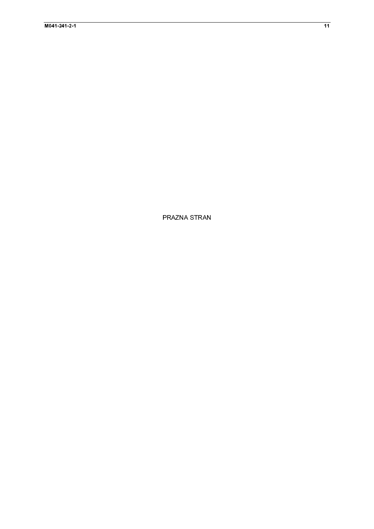PRAZNA STRAN